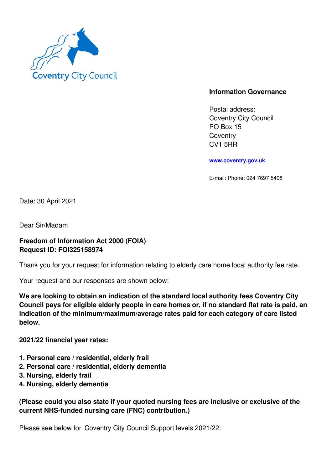

## **Information Governance**

Postal address: Coventry City Council PO Box 15 **Coventry** CV1 5RR

**www.coventry.gov.uk**

E-mail: Phone: 024 7697 5408

Date: 30 April 2021

Dear Sir/Madam

## **Freedom of Information Act 2000 (FOIA) Request ID: FOI325158974**

Thank you for your request for information relating to elderly care home local authority fee rate.

Your request and our responses are shown below:

**We are looking to obtain an indication of the standard local authority fees Coventry City Council pays for eligible elderly people in care homes or, if no standard flat rate is paid, an indication of the minimum/maximum/average rates paid for each category of care listed below.**

**2021/22 financial year rates:**

- **1. Personal care / residential, elderly frail**
- **2. Personal care / residential, elderly dementia**
- **3. Nursing, elderly frail**
- **4. Nursing, elderly dementia**

**(Please could you also state if your quoted nursing fees are inclusive or exclusive of the current NHS-funded nursing care (FNC) contribution.)**

Please see below for Coventry City Council Support levels 2021/22: